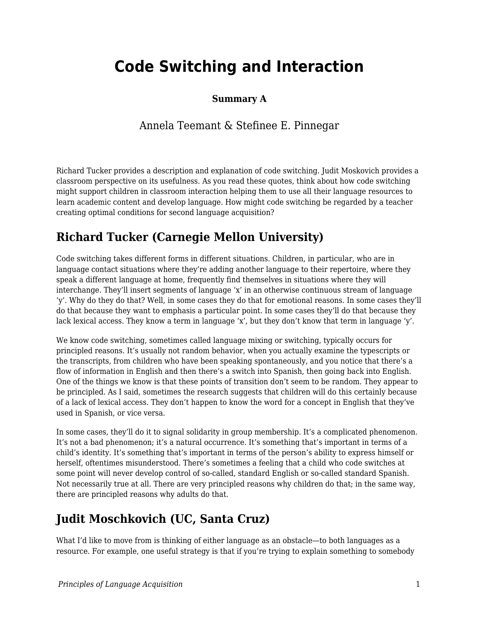# **Code Switching and Interaction**

#### **Summary A**

### Annela Teemant & Stefinee E. Pinnegar

Richard Tucker provides a description and explanation of code switching. Judit Moskovich provides a classroom perspective on its usefulness. As you read these quotes, think about how code switching might support children in classroom interaction helping them to use all their language resources to learn academic content and develop language. How might code switching be regarded by a teacher creating optimal conditions for second language acquisition?

# **Richard Tucker (Carnegie Mellon University)**

Code switching takes different forms in different situations. Children, in particular, who are in language contact situations where they're adding another language to their repertoire, where they speak a different language at home, frequently find themselves in situations where they will interchange. They'll insert segments of language 'x' in an otherwise continuous stream of language 'y'. Why do they do that? Well, in some cases they do that for emotional reasons. In some cases they'll do that because they want to emphasis a particular point. In some cases they'll do that because they lack lexical access. They know a term in language 'x', but they don't know that term in language 'y'.

We know code switching, sometimes called language mixing or switching, typically occurs for principled reasons. It's usually not random behavior, when you actually examine the typescripts or the transcripts, from children who have been speaking spontaneously, and you notice that there's a flow of information in English and then there's a switch into Spanish, then going back into English. One of the things we know is that these points of transition don't seem to be random. They appear to be principled. As I said, sometimes the research suggests that children will do this certainly because of a lack of lexical access. They don't happen to know the word for a concept in English that they've used in Spanish, or vice versa.

In some cases, they'll do it to signal solidarity in group membership. It's a complicated phenomenon. It's not a bad phenomenon; it's a natural occurrence. It's something that's important in terms of a child's identity. It's something that's important in terms of the person's ability to express himself or herself, oftentimes misunderstood. There's sometimes a feeling that a child who code switches at some point will never develop control of so-called, standard English or so-called standard Spanish. Not necessarily true at all. There are very principled reasons why children do that; in the same way, there are principled reasons why adults do that.

# **Judit Moschkovich (UC, Santa Cruz)**

What I'd like to move from is thinking of either language as an obstacle—to both languages as a resource. For example, one useful strategy is that if you're trying to explain something to somebody